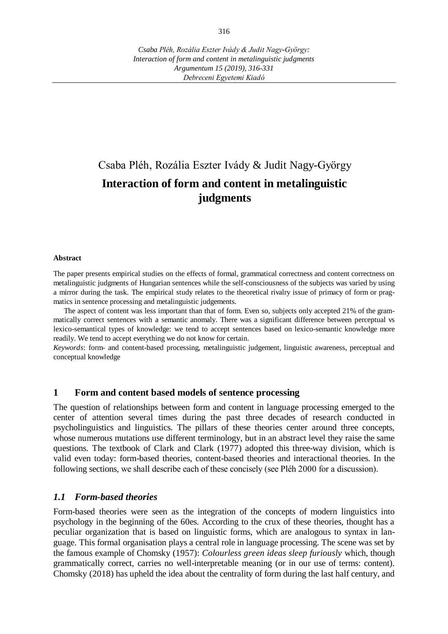# Csaba Pléh, Rozália Eszter Ivády & Judit Nagy-György **Interaction of form and content in metalinguistic judgments**

#### **Abstract**

The paper presents empirical studies on the effects of formal, grammatical correctness and content correctness on metalinguistic judgments of Hungarian sentences while the self-consciousness of the subjects was varied by using a mirror during the task. The empirical study relates to the theoretical rivalry issue of primacy of form or pragmatics in sentence processing and metalinguistic judgements.

The aspect of content was less important than that of form. Even so, subjects only accepted 21% of the grammatically correct sentences with a semantic anomaly. There was a significant difference between perceptual vs lexico-semantical types of knowledge: we tend to accept sentences based on lexico-semantic knowledge more readily. We tend to accept everything we do not know for certain.

*Keywords*: form- and content-based processing, metalinguistic judgement, linguistic awareness, perceptual and conceptual knowledge

#### **1 Form and content based models of sentence processing**

The question of relationships between form and content in language processing emerged to the center of attention several times during the past three decades of research conducted in psycholinguistics and linguistics. The pillars of these theories center around three concepts, whose numerous mutations use different terminology, but in an abstract level they raise the same questions. The textbook of Clark and Clark (1977) adopted this three-way division, which is valid even today: form-based theories, content-based theories and interactional theories. In the following sections, we shall describe each of these concisely (see Pléh 2000 for a discussion).

#### *1.1 Form-based theories*

Form-based theories were seen as the integration of the concepts of modern linguistics into psychology in the beginning of the 60es. According to the crux of these theories, thought has a peculiar organization that is based on linguistic forms, which are analogous to syntax in language. This formal organisation plays a central role in language processing. The scene was set by the famous example of Chomsky (1957): *Colourless green ideas sleep furiously* which, though grammatically correct, carries no well-interpretable meaning (or in our use of terms: content). Chomsky (2018) has upheld the idea about the centrality of form during the last half century, and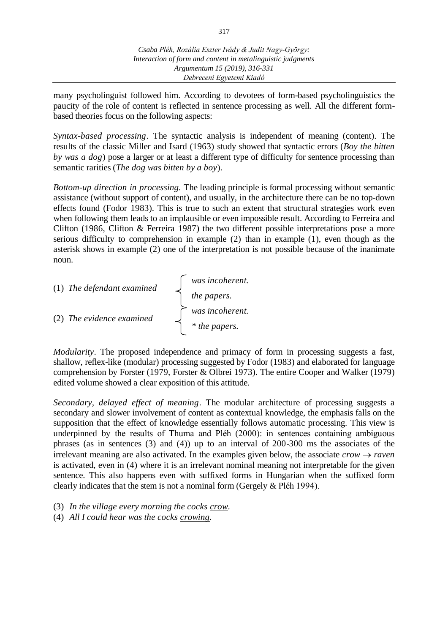*Csaba Pléh, Rozália Eszter Ivády & Judit Nagy-György: Interaction of form and content in metalinguistic judgments Argumentum 15 (2019), 316-331 Debreceni Egyetemi Kiadó*

many psycholinguist followed him. According to devotees of form-based psycholinguistics the paucity of the role of content is reflected in sentence processing as well. All the different formbased theories focus on the following aspects:

*Syntax-based processing*. The syntactic analysis is independent of meaning (content). The results of the classic Miller and Isard (1963) study showed that syntactic errors (*Boy the bitten by was a dog*) pose a larger or at least a different type of difficulty for sentence processing than semantic rarities (*The dog was bitten by a boy*).

*Bottom-up direction in processing.* The leading principle is formal processing without semantic assistance (without support of content), and usually, in the architecture there can be no top-down effects found (Fodor 1983). This is true to such an extent that structural strategies work even when following them leads to an implausible or even impossible result. According to Ferreira and Clifton (1986, Clifton & Ferreira 1987) the two different possible interpretations pose a more serious difficulty to comprehension in example (2) than in example (1), even though as the asterisk shows in example (2) one of the interpretation is not possible because of the inanimate noun.

| (1) The defendant examined | was incoherent. |  |
|----------------------------|-----------------|--|
|                            | the papers.     |  |
| (2) The evidence examined  | was incoherent. |  |
|                            | * the papers.   |  |

*Modularity*. The proposed independence and primacy of form in processing suggests a fast, shallow, reflex-like (modular) processing suggested by Fodor (1983) and elaborated for language comprehension by Forster (1979, Forster & Olbrei 1973). The entire Cooper and Walker (1979) edited volume showed a clear exposition of this attitude.

*Secondary, delayed effect of meaning*. The modular architecture of processing suggests a secondary and slower involvement of content as contextual knowledge, the emphasis falls on the supposition that the effect of knowledge essentially follows automatic processing. This view is underpinned by the results of Thuma and Pléh (2000): in sentences containing ambiguous phrases (as in sentences (3) and (4)) up to an interval of 200-300 ms the associates of the irrelevant meaning are also activated. In the examples given below, the associate  $\text{crow} \rightarrow \text{raven}$ is activated, even in (4) where it is an irrelevant nominal meaning not interpretable for the given sentence. This also happens even with suffixed forms in Hungarian when the suffixed form clearly indicates that the stem is not a nominal form (Gergely & Pléh 1994).

(3) *In the village every morning the cocks crow*.

(4) *All I could hear was the cocks crowing.*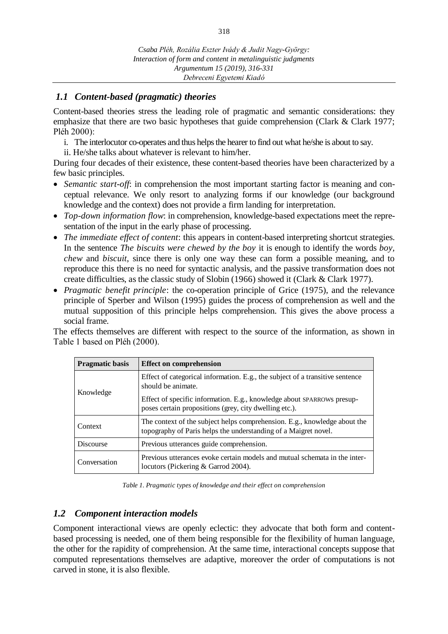# *1.1 Content-based (pragmatic) theories*

Content-based theories stress the leading role of pragmatic and semantic considerations: they emphasize that there are two basic hypotheses that guide comprehension (Clark & Clark 1977; Pléh 2000):

- i. The interlocutor co-operates and thus helps the hearer to find out what he/she is about to say.
- ii. He/she talks about whatever is relevant to him/her.

During four decades of their existence, these content-based theories have been characterized by a few basic principles.

- *Semantic start-off*: in comprehension the most important starting factor is meaning and conceptual relevance. We only resort to analyzing forms if our knowledge (our background knowledge and the context) does not provide a firm landing for interpretation.
- *Top-down information flow*: in comprehension, knowledge-based expectations meet the representation of the input in the early phase of processing.
- *The immediate effect of content*: this appears in content-based interpreting shortcut strategies. In the sentence *The biscuits were chewed by the boy* it is enough to identify the words *boy, chew* and *biscuit*, since there is only one way these can form a possible meaning, and to reproduce this there is no need for syntactic analysis, and the passive transformation does not create difficulties, as the classic study of Slobin (1966) showed it (Clark & Clark 1977).
- *Pragmatic benefit principle*: the co-operation principle of Grice (1975), and the relevance principle of Sperber and Wilson (1995) guides the process of comprehension as well and the mutual supposition of this principle helps comprehension. This gives the above process a social frame.

The effects themselves are different with respect to the source of the information, as shown in Table 1 based on Pléh (2000).

| <b>Pragmatic basis</b> | <b>Effect on comprehension</b>                                                                                                               |  |
|------------------------|----------------------------------------------------------------------------------------------------------------------------------------------|--|
|                        | Effect of categorical information. E.g., the subject of a transitive sentence<br>should be animate.                                          |  |
| Knowledge              | Effect of specific information. E.g., knowledge about SPARROWs presup-<br>poses certain propositions (grey, city dwelling etc.).             |  |
| Context                | The context of the subject helps comprehension. E.g., knowledge about the<br>topography of Paris helps the understanding of a Maigret novel. |  |
| <b>Discourse</b>       | Previous utterances guide comprehension.                                                                                                     |  |
| Conversation           | Previous utterances evoke certain models and mutual schemata in the inter-<br>locutors (Pickering & Garrod 2004).                            |  |

*Table 1. Pragmatic types of knowledge and their effect on comprehension*

### *1.2 Component interaction models*

Component interactional views are openly eclectic: they advocate that both form and contentbased processing is needed, one of them being responsible for the flexibility of human language, the other for the rapidity of comprehension. At the same time, interactional concepts suppose that computed representations themselves are adaptive, moreover the order of computations is not carved in stone, it is also flexible.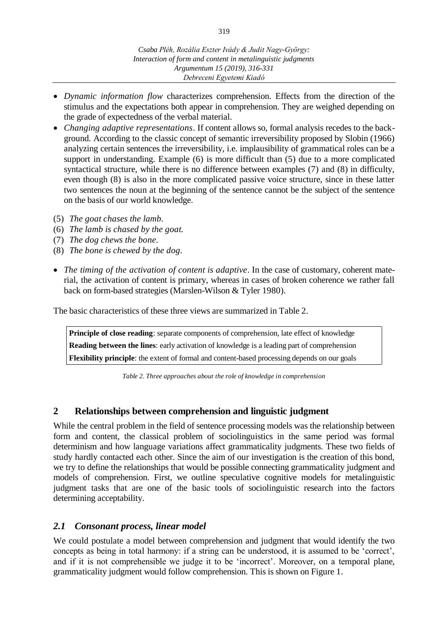- *Dynamic information flow* characterizes comprehension. Effects from the direction of the stimulus and the expectations both appear in comprehension. They are weighed depending on the grade of expectedness of the verbal material.
- *Changing adaptive representations*. If content allows so, formal analysis recedes to the background. According to the classic concept of semantic irreversibility proposed by Slobin (1966) analyzing certain sentences the irreversibility, i.e. implausibility of grammatical roles can be a support in understanding. Example (6) is more difficult than (5) due to a more complicated syntactical structure, while there is no difference between examples (7) and (8) in difficulty, even though (8) is also in the more complicated passive voice structure, since in these latter two sentences the noun at the beginning of the sentence cannot be the subject of the sentence on the basis of our world knowledge.
- (5) *The goat chases the lamb.*
- (6) *The lamb is chased by the goat.*
- (7) *The dog chews the bone.*
- (8) *The bone is chewed by the dog.*
- *The timing of the activation of content is adaptive*. In the case of customary, coherent material, the activation of content is primary, whereas in cases of broken coherence we rather fall back on form-based strategies (Marslen-Wilson & Tyler 1980).

The basic characteristics of these three views are summarized in Table 2.

**Principle of close reading**: separate components of comprehension, late effect of knowledge **Reading between the lines**: early activation of knowledge is a leading part of comprehension **Flexibility principle**: the extent of formal and content-based processing depends on our goals

*Table 2. Three approaches about the role of knowledge in comprehension*

### **2 Relationships between comprehension and linguistic judgment**

While the central problem in the field of sentence processing models was the relationship between form and content, the classical problem of sociolinguistics in the same period was formal determinism and how language variations affect grammaticality judgments. These two fields of study hardly contacted each other. Since the aim of our investigation is the creation of this bond, we try to define the relationships that would be possible connecting grammaticality judgment and models of comprehension. First, we outline speculative cognitive models for metalinguistic judgment tasks that are one of the basic tools of sociolinguistic research into the factors determining acceptability.

### *2.1 Consonant process, linear model*

We could postulate a model between comprehension and judgment that would identify the two concepts as being in total harmony: if a string can be understood, it is assumed to be 'correct', and if it is not comprehensible we judge it to be 'incorrect'. Moreover, on a temporal plane, grammaticality judgment would follow comprehension. This is shown on Figure 1.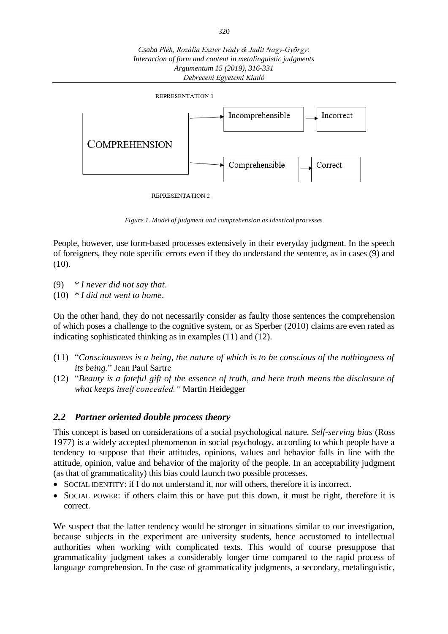

*Figure 1. Model of judgment and comprehension as identical processes*

People, however, use form-based processes extensively in their everyday judgment. In the speech of foreigners, they note specific errors even if they do understand the sentence, as in cases (9) and (10).

- (9) \* *I never did not say that*.
- (10) \* *I did not went to home*.

On the other hand, they do not necessarily consider as faulty those sentences the comprehension of which poses a challenge to the cognitive system, or as Sperber (2010) claims are even rated as indicating sophisticated thinking as in examples (11) and (12).

- (11) "*Consciousness is a being, the nature of which is to be conscious of the nothingness of its being*." Jean Paul Sartre
- (12) "*Beauty is a fateful gift of the essence of truth, and here truth means the disclosure of what keeps itself concealed."* Martin Heidegger

# *2.2 Partner oriented double process theory*

This concept is based on considerations of a social psychological nature. *Self-serving bias* (Ross 1977) is a widely accepted phenomenon in social psychology, according to which people have a tendency to suppose that their attitudes, opinions, values and behavior falls in line with the attitude, opinion, value and behavior of the majority of the people. In an acceptability judgment (as that of grammaticality) this bias could launch two possible processes.

- SOCIAL IDENTITY: if I do not understand it, nor will others, therefore it is incorrect.
- SOCIAL POWER: if others claim this or have put this down, it must be right, therefore it is correct.

We suspect that the latter tendency would be stronger in situations similar to our investigation, because subjects in the experiment are university students, hence accustomed to intellectual authorities when working with complicated texts. This would of course presuppose that grammaticality judgment takes a considerably longer time compared to the rapid process of language comprehension. In the case of grammaticality judgments, a secondary, metalinguistic,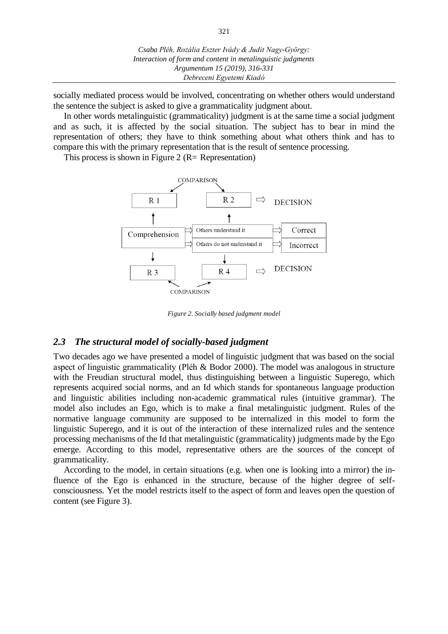socially mediated process would be involved, concentrating on whether others would understand the sentence the subject is asked to give a grammaticality judgment about.

In other words metalinguistic (grammaticality) judgment is at the same time a social judgment and as such, it is affected by the social situation. The subject has to bear in mind the representation of others; they have to think something about what others think and has to compare this with the primary representation that is the result of sentence processing.

This process is shown in Figure 2 ( $R=$  Representation)



*Figure 2. Socially based judgment model*

#### *2.3 The structural model of socially-based judgment*

Two decades ago we have presented a model of linguistic judgment that was based on the social aspect of linguistic grammaticality (Pléh & Bodor 2000). The model was analogous in structure with the Freudian structural model, thus distinguishing between a linguistic Superego, which represents acquired social norms, and an Id which stands for spontaneous language production and linguistic abilities including non-academic grammatical rules (intuitive grammar). The model also includes an Ego, which is to make a final metalinguistic judgment. Rules of the normative language community are supposed to be internalized in this model to form the linguistic Superego, and it is out of the interaction of these internalized rules and the sentence processing mechanisms of the Id that metalinguistic (grammaticality) judgments made by the Ego emerge. According to this model, representative others are the sources of the concept of grammaticality.

According to the model, in certain situations (e.g. when one is looking into a mirror) the influence of the Ego is enhanced in the structure, because of the higher degree of selfconsciousness. Yet the model restricts itself to the aspect of form and leaves open the question of content (see Figure 3).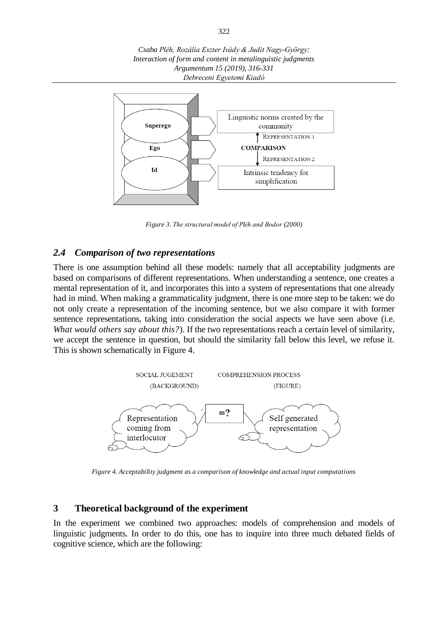*Csaba Pléh, Rozália Eszter Ivády & Judit Nagy-György: Interaction of form and content in metalinguistic judgments Argumentum 15 (2019), 316-331 Debreceni Egyetemi Kiadó*



*Figure 3. The structural model of Pléh and Bodor (2000)*

# *2.4 Comparison of two representations*

There is one assumption behind all these models: namely that all acceptability judgments are based on comparisons of different representations. When understanding a sentence, one creates a mental representation of it, and incorporates this into a system of representations that one already had in mind. When making a grammaticality judgment, there is one more step to be taken: we do not only create a representation of the incoming sentence, but we also compare it with former sentence representations, taking into consideration the social aspects we have seen above (i.e. *What would others say about this?*). If the two representations reach a certain level of similarity, we accept the sentence in question, but should the similarity fall below this level, we refuse it. This is shown schematically in Figure 4.



*Figure 4. Acceptability judgment as a comparison of knowledge and actual input computations*

#### **3 Theoretical background of the experiment**

In the experiment we combined two approaches: models of comprehension and models of linguistic judgments. In order to do this, one has to inquire into three much debated fields of cognitive science, which are the following: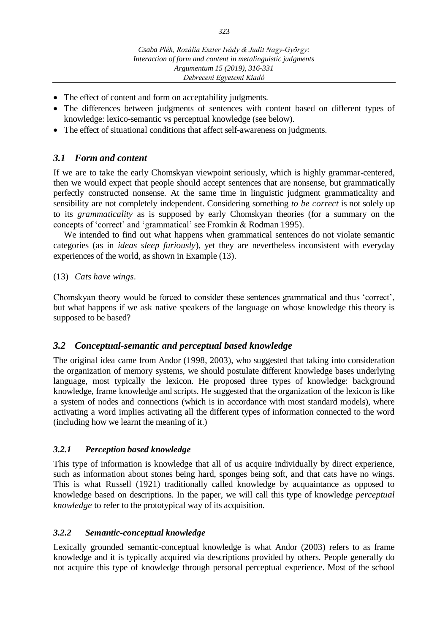- The effect of content and form on acceptability judgments.
- The differences between judgments of sentences with content based on different types of knowledge: lexico-semantic vs perceptual knowledge (see below).
- The effect of situational conditions that affect self-awareness on judgments.

# *3.1 Form and content*

If we are to take the early Chomskyan viewpoint seriously, which is highly grammar-centered, then we would expect that people should accept sentences that are nonsense, but grammatically perfectly constructed nonsense. At the same time in linguistic judgment grammaticality and sensibility are not completely independent. Considering something *to be correct* is not solely up to its *grammaticality* as is supposed by early Chomskyan theories (for a summary on the concepts of 'correct' and 'grammatical' see Fromkin & Rodman 1995).

We intended to find out what happens when grammatical sentences do not violate semantic categories (as in *ideas sleep furiously*), yet they are nevertheless inconsistent with everyday experiences of the world, as shown in Example (13).

#### (13) *Cats have wings*.

Chomskyan theory would be forced to consider these sentences grammatical and thus 'correct', but what happens if we ask native speakers of the language on whose knowledge this theory is supposed to be based?

### *3.2 Conceptual-semantic and perceptual based knowledge*

The original idea came from Andor (1998, 2003), who suggested that taking into consideration the organization of memory systems, we should postulate different knowledge bases underlying language, most typically the lexicon. He proposed three types of knowledge: background knowledge, frame knowledge and scripts. He suggested that the organization of the lexicon is like a system of nodes and connections (which is in accordance with most standard models), where activating a word implies activating all the different types of information connected to the word (including how we learnt the meaning of it.)

### *3.2.1 Perception based knowledge*

This type of information is knowledge that all of us acquire individually by direct experience, such as information about stones being hard, sponges being soft, and that cats have no wings. This is what Russell (1921) traditionally called knowledge by acquaintance as opposed to knowledge based on descriptions. In the paper, we will call this type of knowledge *perceptual knowledge* to refer to the prototypical way of its acquisition.

### *3.2.2 Semantic-conceptual knowledge*

Lexically grounded semantic-conceptual knowledge is what Andor (2003) refers to as frame knowledge and it is typically acquired via descriptions provided by others. People generally do not acquire this type of knowledge through personal perceptual experience. Most of the school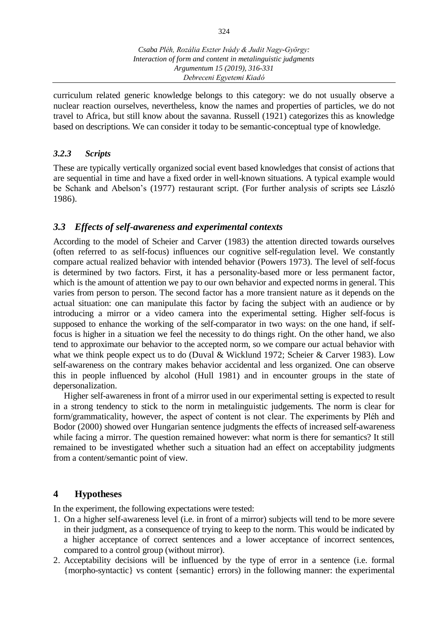curriculum related generic knowledge belongs to this category: we do not usually observe a nuclear reaction ourselves, nevertheless, know the names and properties of particles, we do not travel to Africa, but still know about the savanna. Russell (1921) categorizes this as knowledge based on descriptions. We can consider it today to be semantic-conceptual type of knowledge.

# *3.2.3 Scripts*

These are typically vertically organized social event based knowledges that consist of actions that are sequential in time and have a fixed order in well-known situations. A typical example would be Schank and Abelson's (1977) restaurant script. (For further analysis of scripts see László 1986).

# *3.3 Effects of self-awareness and experimental contexts*

According to the model of Scheier and Carver (1983) the attention directed towards ourselves (often referred to as self-focus) influences our cognitive self-regulation level. We constantly compare actual realized behavior with intended behavior (Powers 1973). The level of self-focus is determined by two factors. First, it has a personality-based more or less permanent factor, which is the amount of attention we pay to our own behavior and expected norms in general. This varies from person to person. The second factor has a more transient nature as it depends on the actual situation: one can manipulate this factor by facing the subject with an audience or by introducing a mirror or a video camera into the experimental setting. Higher self-focus is supposed to enhance the working of the self-comparator in two ways: on the one hand, if selffocus is higher in a situation we feel the necessity to do things right. On the other hand, we also tend to approximate our behavior to the accepted norm, so we compare our actual behavior with what we think people expect us to do (Duval & Wicklund 1972; Scheier & Carver 1983). Low self-awareness on the contrary makes behavior accidental and less organized. One can observe this in people influenced by alcohol (Hull 1981) and in encounter groups in the state of depersonalization.

Higher self-awareness in front of a mirror used in our experimental setting is expected to result in a strong tendency to stick to the norm in metalinguistic judgements. The norm is clear for form/grammaticality, however, the aspect of content is not clear. The experiments by Pléh and Bodor (2000) showed over Hungarian sentence judgments the effects of increased self-awareness while facing a mirror. The question remained however: what norm is there for semantics? It still remained to be investigated whether such a situation had an effect on acceptability judgments from a content/semantic point of view.

# **4 Hypotheses**

In the experiment, the following expectations were tested:

- 1. On a higher self-awareness level (i.e. in front of a mirror) subjects will tend to be more severe in their judgment, as a consequence of trying to keep to the norm. This would be indicated by a higher acceptance of correct sentences and a lower acceptance of incorrect sentences, compared to a control group (without mirror).
- 2. Acceptability decisions will be influenced by the type of error in a sentence (i.e. formal {morpho-syntactic} vs content {semantic} errors) in the following manner: the experimental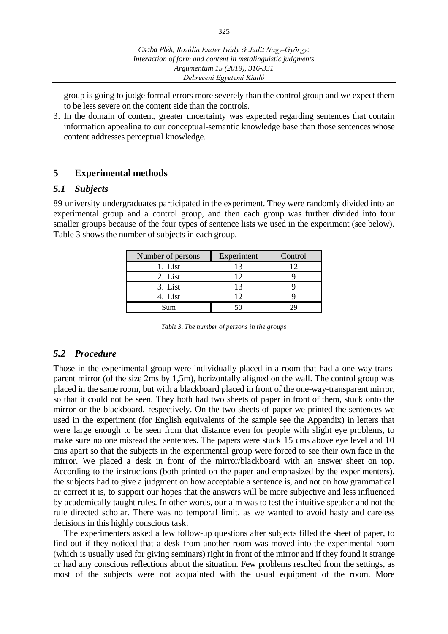group is going to judge formal errors more severely than the control group and we expect them to be less severe on the content side than the controls.

3. In the domain of content, greater uncertainty was expected regarding sentences that contain information appealing to our conceptual-semantic knowledge base than those sentences whose content addresses perceptual knowledge.

# **5 Experimental methods**

#### *5.1 Subjects*

89 university undergraduates participated in the experiment. They were randomly divided into an experimental group and a control group, and then each group was further divided into four smaller groups because of the four types of sentence lists we used in the experiment (see below). Table 3 shows the number of subjects in each group.

| Number of persons | Experiment | Control |
|-------------------|------------|---------|
| 1. List           |            |         |
| 2. List           |            |         |
| 3. List           |            |         |
| 4. List           |            |         |
| Sum               |            |         |

*Table 3. The number of persons in the groups*

### *5.2 Procedure*

Those in the experimental group were individually placed in a room that had a one-way-transparent mirror (of the size 2ms by 1,5m), horizontally aligned on the wall. The control group was placed in the same room, but with a blackboard placed in front of the one-way-transparent mirror, so that it could not be seen. They both had two sheets of paper in front of them, stuck onto the mirror or the blackboard, respectively. On the two sheets of paper we printed the sentences we used in the experiment (for English equivalents of the sample see the Appendix) in letters that were large enough to be seen from that distance even for people with slight eye problems, to make sure no one misread the sentences. The papers were stuck 15 cms above eye level and 10 cms apart so that the subjects in the experimental group were forced to see their own face in the mirror. We placed a desk in front of the mirror/blackboard with an answer sheet on top. According to the instructions (both printed on the paper and emphasized by the experimenters), the subjects had to give a judgment on how acceptable a sentence is, and not on how grammatical or correct it is, to support our hopes that the answers will be more subjective and less influenced by academically taught rules. In other words, our aim was to test the intuitive speaker and not the rule directed scholar. There was no temporal limit, as we wanted to avoid hasty and careless decisions in this highly conscious task.

The experimenters asked a few follow-up questions after subjects filled the sheet of paper, to find out if they noticed that a desk from another room was moved into the experimental room (which is usually used for giving seminars) right in front of the mirror and if they found it strange or had any conscious reflections about the situation. Few problems resulted from the settings, as most of the subjects were not acquainted with the usual equipment of the room. More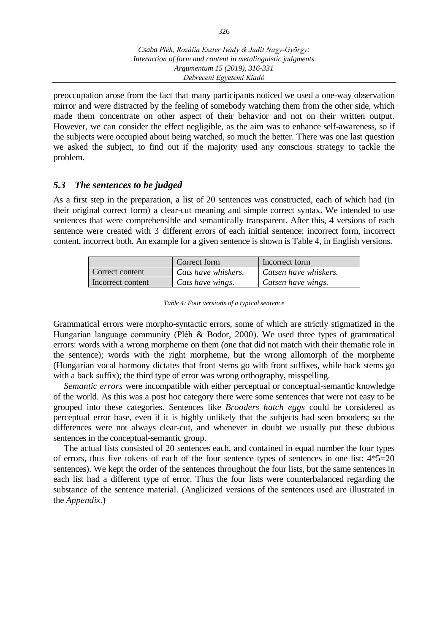preoccupation arose from the fact that many participants noticed we used a one-way observation mirror and were distracted by the feeling of somebody watching them from the other side, which made them concentrate on other aspect of their behavior and not on their written output. However, we can consider the effect negligible, as the aim was to enhance self-awareness, so if the subjects were occupied about being watched, so much the better. There was one last question we asked the subject, to find out if the majority used any conscious strategy to tackle the problem.

### *5.3 The sentences to be judged*

As a first step in the preparation, a list of 20 sentences was constructed, each of which had (in their original correct form) a clear-cut meaning and simple correct syntax. We intended to use sentences that were comprehensible and semantically transparent. After this, 4 versions of each sentence were created with 3 different errors of each initial sentence: incorrect form, incorrect content, incorrect both. An example for a given sentence is shown is Table 4, in English versions.

|                   | Correct form        | Incorrect form        |
|-------------------|---------------------|-----------------------|
| Correct content   | Cats have whiskers. | Catsen have whiskers. |
| Incorrect content | Cats have wings.    | Catsen have wings.    |

*Table 4: Four versions of a typical sentence*

Grammatical errors were morpho-syntactic errors, some of which are strictly stigmatized in the Hungarian language community (Pléh & Bodor, 2000). We used three types of grammatical errors: words with a wrong morpheme on them (one that did not match with their thematic role in the sentence); words with the right morpheme, but the wrong allomorph of the morpheme (Hungarian vocal harmony dictates that front stems go with front suffixes, while back stems go with a back suffix); the third type of error was wrong orthography, misspelling.

*Semantic errors* were incompatible with either perceptual or conceptual-semantic knowledge of the world. As this was a post hoc category there were some sentences that were not easy to be grouped into these categories. Sentences like *Brooders hatch eggs* could be considered as perceptual error base, even if it is highly unlikely that the subjects had seen brooders; so the differences were not always clear-cut, and whenever in doubt we usually put these dubious sentences in the conceptual-semantic group.

The actual lists consisted of 20 sentences each, and contained in equal number the four types of errors, thus five tokens of each of the four sentence types of sentences in one list: 4\*5=20 sentences). We kept the order of the sentences throughout the four lists, but the same sentences in each list had a different type of error. Thus the four lists were counterbalanced regarding the substance of the sentence material. (Anglicized versions of the sentences used are illustrated in the *Appendix*.)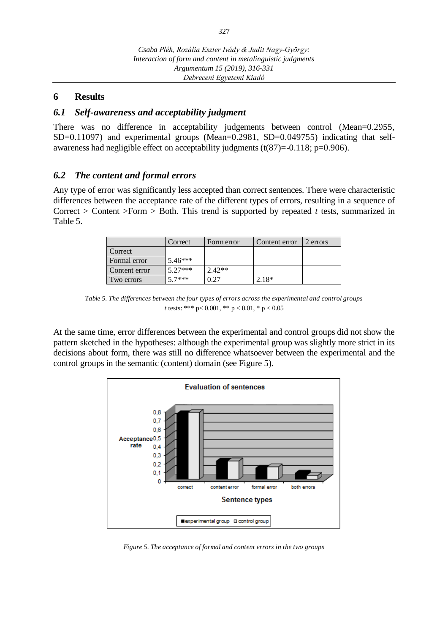### **6 Results**

#### *6.1 Self-awareness and acceptability judgment*

There was no difference in acceptability judgements between control (Mean=0.2955, SD=0.11097) and experimental groups (Mean=0.2981, SD=0.049755) indicating that selfawareness had negligible effect on acceptability judgments (t(87)=-0.118; p=0.906).

#### *6.2 The content and formal errors*

Any type of error was significantly less accepted than correct sentences. There were characteristic differences between the acceptance rate of the different types of errors, resulting in a sequence of Correct > Content >Form > Both. This trend is supported by repeated *t* tests, summarized in Table 5.

|               | Correct   | Form error | Content error | 2 errors |
|---------------|-----------|------------|---------------|----------|
| Correct       |           |            |               |          |
| Formal error  | $5.46***$ |            |               |          |
| Content error | $5.27***$ | $2.42**$   |               |          |
| Two errors    | $57***$   | 0.27       | $2.18*$       |          |

*Table 5. The differences between the four types of errors across the experimental and control groups t* tests: \*\*\* p< 0.001, \*\* p < 0.01, \* p < 0.05

At the same time, error differences between the experimental and control groups did not show the pattern sketched in the hypotheses: although the experimental group was slightly more strict in its decisions about form, there was still no difference whatsoever between the experimental and the control groups in the semantic (content) domain (see Figure 5).



*Figure 5. The acceptance of formal and content errors in the two groups*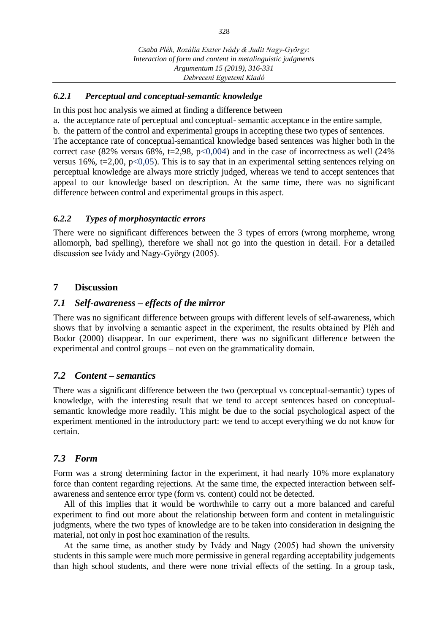#### *6.2.1 Perceptual and conceptual-semantic knowledge*

In this post hoc analysis we aimed at finding a difference between

a. the acceptance rate of perceptual and conceptual- semantic acceptance in the entire sample, b. the pattern of the control and experimental groups in accepting these two types of sentences. The acceptance rate of conceptual-semantical knowledge based sentences was higher both in the correct case (82% versus 68%, t=2,98, p<0,004) and in the case of incorrectness as well (24% versus 16%,  $t=2,00$ ,  $p<0,05$ ). This is to say that in an experimental setting sentences relying on perceptual knowledge are always more strictly judged, whereas we tend to accept sentences that appeal to our knowledge based on description. At the same time, there was no significant difference between control and experimental groups in this aspect.

#### *6.2.2 Types of morphosyntactic errors*

There were no significant differences between the 3 types of errors (wrong morpheme, wrong allomorph, bad spelling), therefore we shall not go into the question in detail. For a detailed discussion see Ivády and Nagy-György (2005).

#### **7 Discussion**

#### *7.1 Self-awareness – effects of the mirror*

There was no significant difference between groups with different levels of self-awareness, which shows that by involving a semantic aspect in the experiment, the results obtained by Pléh and Bodor (2000) disappear. In our experiment, there was no significant difference between the experimental and control groups – not even on the grammaticality domain.

#### *7.2 Content – semantics*

There was a significant difference between the two (perceptual vs conceptual-semantic) types of knowledge, with the interesting result that we tend to accept sentences based on conceptualsemantic knowledge more readily. This might be due to the social psychological aspect of the experiment mentioned in the introductory part: we tend to accept everything we do not know for certain.

#### *7.3 Form*

Form was a strong determining factor in the experiment, it had nearly 10% more explanatory force than content regarding rejections. At the same time, the expected interaction between selfawareness and sentence error type (form vs. content) could not be detected.

All of this implies that it would be worthwhile to carry out a more balanced and careful experiment to find out more about the relationship between form and content in metalinguistic judgments, where the two types of knowledge are to be taken into consideration in designing the material, not only in post hoc examination of the results.

At the same time, as another study by Ivády and Nagy (2005) had shown the university students in this sample were much more permissive in general regarding acceptability judgements than high school students, and there were none trivial effects of the setting. In a group task,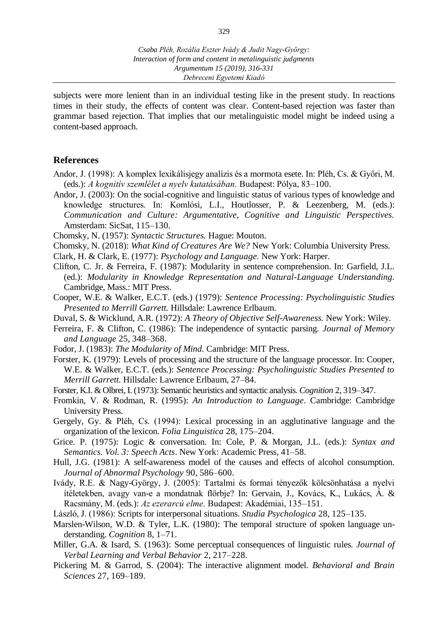subjects were more lenient than in an individual testing like in the present study. In reactions times in their study, the effects of content was clear. Content-based rejection was faster than grammar based rejection. That implies that our metalinguistic model might be indeed using a content-based approach.

#### **References**

- Andor, J. (1998): A komplex lexikálisjegy analízis és a mormota esete. In: Pléh, Cs. & Győri, M. (eds.): *A kognitív szemlélet a nyelv kutatásában.* Budapest: Pólya, 83–100.
- Andor, J. (2003): On the social-cognitive and linguistic status of various types of knowledge and knowledge structures. In: Komlósi, L.I., Houtlosser, P. & Leezenberg, M. (eds.): *Communication and Culture: Argumentative, Cognitive and Linguistic Perspectives.*  Amsterdam: SicSat, 115–130.
- Chomsky, N. (1957): *Syntactic Structures.* Hague: Mouton.
- Chomsky, N. (2018): *What Kind of Creatures Are We?* New York: Columbia University Press.
- Clark, H. & Clark, E. (1977): *Psychology and Language.* New York: Harper.
- Clifton, C. Jr. & Ferreira, F. (1987): Modularity in sentence comprehension. In: Garfield, J.L. (ed.): *Modularity in Knowledge Representation and Natural-Language Understanding.*  Cambridge, Mass.: MIT Press.
- Cooper, W.E. & Walker, E.C.T. (eds.) (1979): *Sentence Processing: Psycholinguistic Studies Presented to Merrill Garrett.* Hillsdale: Lawrence Erlbaum.
- Duval, S. & Wicklund, A.R. (1972): *A Theory of Objective Self-Awareness.* New York: Wiley*.*
- Ferreira, F. & Clifton, C. (1986): The independence of syntactic parsing. *Journal of Memory and Language* 25, 348–368.
- Fodor, J. (1983): *The Modularity of Mind.* Cambridge: MIT Press.
- Forster, K. (1979): Levels of processing and the structure of the language processor. In: Cooper, W.E. & Walker, E.C.T. (eds.): *Sentence Processing: Psycholinguistic Studies Presented to Merrill Garrett.* Hillsdale: Lawrence Erlbaum, 27–84.
- Forster, K.I. & Olbrei, I. (1973): Semantic heuristics and syntactic analysis. *Cognition* 2, 319–347.
- Fromkin, V. & Rodman, R. (1995): *An Introduction to Language.* Cambridge: Cambridge University Press.
- Gergely, Gy. & Pléh, Cs. (1994): Lexical processing in an agglutinative language and the organization of the lexicon. *Folia Linguistica* 28, 175–204.
- Grice. P. (1975): Logic & conversation. In: Cole, P. & Morgan, J.L. (eds.): *Syntax and Semantics. Vol. 3: Speech Acts*. New York: Academic Press, 41–58.
- Hull, J.G. (1981): A self-awareness model of the causes and effects of alcohol consumption. *Journal of Abnormal Psychology* 90, 586–600.
- Ivády, R.E. & Nagy-György, J. (2005): Tartalmi és formai tényezők kölcsönhatása a nyelvi ítéletekben, avagy van-e a mondatnak flörbje? In: Gervain, J., Kovács, K., Lukács, Á. & Racsmány, M. (eds.): *Az ezerarcú elme.* Budapest: Akadémiai, 135–151.
- László, J. (1986): Scripts for interpersonal situations. *Studia Psychologica* 28, 125–135.
- Marslen-Wilson, W.D. & Tyler, L.K. (1980): The temporal structure of spoken language understanding. *Cognition* 8, 1–71.
- Miller, G.A. & Isard, S. (1963): Some perceptual consequences of linguistic rules. *Journal of Verbal Learning and Verbal Behavior* 2, 217–228.
- Pickering M. & Garrod, S. (2004): The interactive alignment model. *Behavioral and Brain Sciences* 27, 169–189.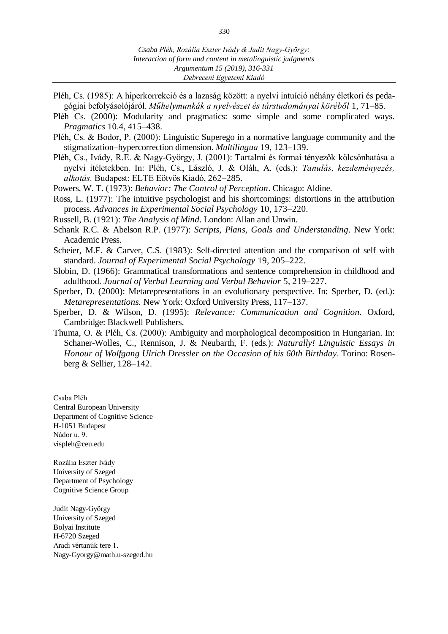- Pléh, Cs. (1985): A hiperkorrekció és a lazaság között: a nyelvi intuíció néhány életkori és pedagógiai befolyásolójáról. *Műhelymunkák a nyelvészet és társtudományai köréből* 1, 71–85.
- Pléh Cs. (2000): Modularity and pragmatics: some simple and some complicated ways. *Pragmatics* 10.4, 415–438.
- Pléh, Cs. & Bodor, P. (2000): Linguistic Superego in a normative language community and the stigmatization–hypercorrection dimension. *Multilingua* 19, 123–139.
- Pléh, Cs., Ivády, R.E. & Nagy-György, J. (2001): Tartalmi és formai tényezők kölcsönhatása a nyelvi ítéletekben. In: Pléh, Cs., László, J. & Oláh, A. (eds.): *Tanulás, kezdeményezés, alkotás.* Budapest: ELTE Eötvös Kiadó, 262–285.
- Powers, W. T. (1973): *Behavior: The Control of Perception*. Chicago: Aldine.
- Ross, L. (1977): The intuitive psychologist and his shortcomings: distortions in the attribution process. *Advances in Experimental Social Psychology* 10, 173–220.
- Russell, B. (1921): *The Analysis of Mind*. London: Allan and Unwin.
- Schank R.C. & Abelson R.P. (1977): *Scripts, Plans, Goals and Understanding*. New York: Academic Press.
- Scheier, M.F. & Carver, C.S. (1983): Self-directed attention and the comparison of self with standard. *Journal of Experimental Social Psychology* 19*,* 205–222.
- Slobin, D. (1966): Grammatical transformations and sentence comprehension in childhood and adulthood. *Journal of Verbal Learning and Verbal Behavior* 5, 219–227.
- Sperber, D. (2000): Metarepresentations in an evolutionary perspective. In: Sperber, D. (ed.): *Metarepresentations.* New York: Oxford University Press, 117–137.
- Sperber, D. & Wilson, D. (1995): *Relevance: Communication and Cognition.* Oxford, Cambridge: Blackwell Publishers.
- Thuma, O. & Pléh, Cs. (2000): Ambiguity and morphological decomposition in Hungarian. In: Schaner-Wolles, C., Rennison, J. & Neubarth, F. (eds.): *Naturally! Linguistic Essays in Honour of Wolfgang Ulrich Dressler on the Occasion of his 60th Birthday*. Torino: Rosenberg & Sellier, 128–142.

Csaba Pléh Central European University Department of Cognitive Science H-1051 Budapest Nádor u. 9. [vispleh@ceu.edu](mailto:vispleh@ceu.edu)

Rozália Eszter Ivády University of Szeged Department of Psychology Cognitive Science Group

Judit Nagy-György University of Szeged Bolyai Institute H-6720 Szeged Aradi vértanúk tere 1. [Nagy-Gyorgy@math.u-szeged.hu](mailto:Nagy-Gyorgy@math.u-szeged.hu)